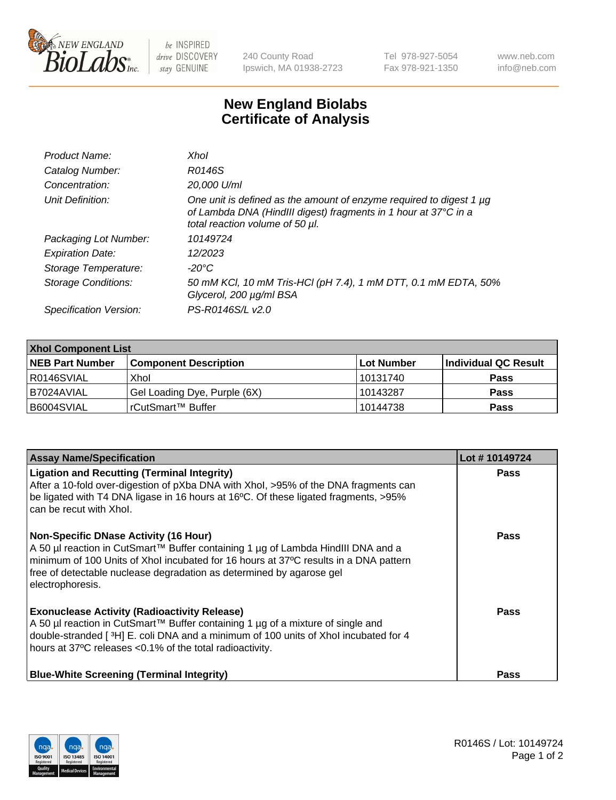

 $be$  INSPIRED drive DISCOVERY stay GENUINE

240 County Road Ipswich, MA 01938-2723 Tel 978-927-5054 Fax 978-921-1350 www.neb.com info@neb.com

## **New England Biolabs Certificate of Analysis**

| Product Name:           | Xhol                                                                                                                                                                      |
|-------------------------|---------------------------------------------------------------------------------------------------------------------------------------------------------------------------|
| Catalog Number:         | R0146S                                                                                                                                                                    |
| Concentration:          | 20,000 U/ml                                                                                                                                                               |
| Unit Definition:        | One unit is defined as the amount of enzyme required to digest 1 µg<br>of Lambda DNA (HindIII digest) fragments in 1 hour at 37°C in a<br>total reaction volume of 50 µl. |
| Packaging Lot Number:   | 10149724                                                                                                                                                                  |
| <b>Expiration Date:</b> | 12/2023                                                                                                                                                                   |
| Storage Temperature:    | -20°C                                                                                                                                                                     |
| Storage Conditions:     | 50 mM KCl, 10 mM Tris-HCl (pH 7.4), 1 mM DTT, 0.1 mM EDTA, 50%<br>Glycerol, 200 µg/ml BSA                                                                                 |
| Specification Version:  | PS-R0146S/L v2.0                                                                                                                                                          |

| <b>Xhol Component List</b> |                              |             |                      |  |  |
|----------------------------|------------------------------|-------------|----------------------|--|--|
| <b>NEB Part Number</b>     | <b>Component Description</b> | ∣Lot Number | Individual QC Result |  |  |
| R0146SVIAL                 | Xhol                         | 10131740    | <b>Pass</b>          |  |  |
| I B7024AVIAL               | Gel Loading Dye, Purple (6X) | 10143287    | <b>Pass</b>          |  |  |
| B6004SVIAL                 | rCutSmart™ Buffer            | 10144738    | <b>Pass</b>          |  |  |

| <b>Assay Name/Specification</b>                                                                                                                                                                                                                                                                                      | Lot #10149724 |
|----------------------------------------------------------------------------------------------------------------------------------------------------------------------------------------------------------------------------------------------------------------------------------------------------------------------|---------------|
| <b>Ligation and Recutting (Terminal Integrity)</b><br>After a 10-fold over-digestion of pXba DNA with Xhol, >95% of the DNA fragments can<br>be ligated with T4 DNA ligase in 16 hours at 16°C. Of these ligated fragments, >95%<br>can be recut with Xhol.                                                          | <b>Pass</b>   |
| <b>Non-Specific DNase Activity (16 Hour)</b><br>A 50 µl reaction in CutSmart™ Buffer containing 1 µg of Lambda HindIII DNA and a<br>minimum of 100 Units of Xhol incubated for 16 hours at 37°C results in a DNA pattern<br>free of detectable nuclease degradation as determined by agarose gel<br>electrophoresis. | <b>Pass</b>   |
| <b>Exonuclease Activity (Radioactivity Release)</b><br>A 50 µl reaction in CutSmart™ Buffer containing 1 µg of a mixture of single and<br>double-stranded [3H] E. coli DNA and a minimum of 100 units of Xhol incubated for 4<br>hours at 37°C releases <0.1% of the total radioactivity.                            | Pass          |
| <b>Blue-White Screening (Terminal Integrity)</b>                                                                                                                                                                                                                                                                     | Pass          |